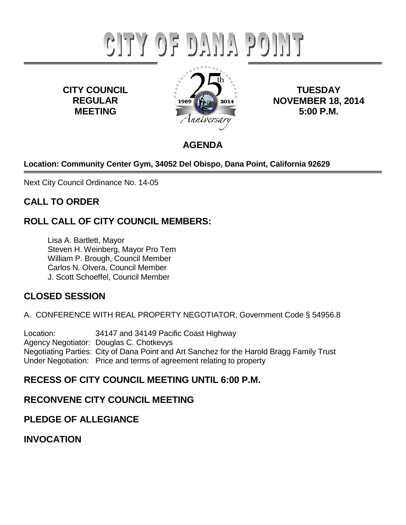# CITY OF DANA POINT

**CITY COUNCIL REGULAR MEETING**



**TUESDAY NOVEMBER 18, 2014 5:00 P.M.**

# **AGENDA**

# **Location: Community Center Gym, 34052 Del Obispo, Dana Point, California 92629**

Next City Council Ordinance No. 14-05

# **CALL TO ORDER**

# **ROLL CALL OF CITY COUNCIL MEMBERS:**

Lisa A. Bartlett, Mayor Steven H. Weinberg, Mayor Pro Tem William P. Brough, Council Member Carlos N. Olvera, Council Member J. Scott Schoeffel, Council Member

# **CLOSED SESSION**

A. CONFERENCE WITH REAL PROPERTY NEGOTIATOR, Government Code § 54956.8

Location: 34147 and 34149 Pacific Coast Highway Agency Negotiator: Douglas C. Chotkevys Negotiating Parties: City of Dana Point and Art Sanchez for the Harold Bragg Family Trust Under Negotiation: Price and terms of agreement relating to property

# **RECESS OF CITY COUNCIL MEETING UNTIL 6:00 P.M.**

# **RECONVENE CITY COUNCIL MEETING**

# **PLEDGE OF ALLEGIANCE**

**INVOCATION**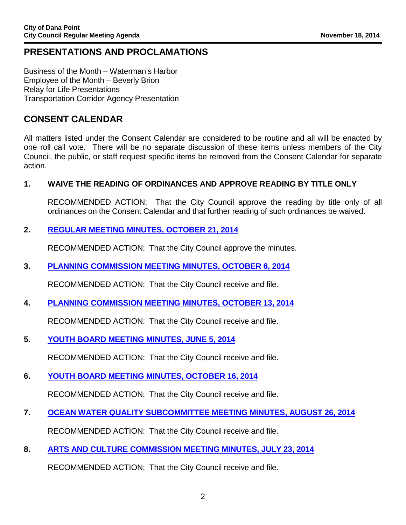# **PRESENTATIONS AND PROCLAMATIONS**

Business of the Month – Waterman's Harbor Employee of the Month – Beverly Brion Relay for Life Presentations Transportation Corridor Agency Presentation

# **CONSENT CALENDAR**

All matters listed under the Consent Calendar are considered to be routine and all will be enacted by one roll call vote. There will be no separate discussion of these items unless members of the City Council, the public, or staff request specific items be removed from the Consent Calendar for separate action.

## **1. WAIVE THE READING OF ORDINANCES AND APPROVE READING BY TITLE ONLY**

RECOMMENDED ACTION: That the City Council approve the reading by title only of all ordinances on the Consent Calendar and that further reading of such ordinances be waived.

## **2. [REGULAR MEETING MINUTES, OCTOBER 21, 2014](https://www.danapoint.org/modules/showdocument.aspx?documentid=14728)**

RECOMMENDED ACTION: That the City Council approve the minutes.

## **3. [PLANNING COMMISSION MEETING MINUTES, OCTOBER 6, 2014](https://www.danapoint.org/modules/showdocument.aspx?documentid=14729)**

RECOMMENDED ACTION: That the City Council receive and file.

## **4. [PLANNING COMMISSION MEETING MINUTES, OCTOBER 13, 2014](https://www.danapoint.org/modules/showdocument.aspx?documentid=14730)**

RECOMMENDED ACTION: That the City Council receive and file.

## **5. [YOUTH BOARD MEETING MINUTES, JUNE 5, 2014](https://www.danapoint.org/modules/showdocument.aspx?documentid=14731)**

RECOMMENDED ACTION: That the City Council receive and file.

## **6. [YOUTH BOARD MEETING MINUTES, OCTOBER 16, 2014](https://www.danapoint.org/modules/showdocument.aspx?documentid=14732)**

RECOMMENDED ACTION: That the City Council receive and file.

**7. [OCEAN WATER QUALITY SUBCOMMITTEE MEETING MINUTES, AUGUST 26, 2014](https://www.danapoint.org/modules/showdocument.aspx?documentid=14733)**

RECOMMENDED ACTION: That the City Council receive and file.

## **8. [ARTS AND CULTURE COMMISSION MEETING MINUTES, JULY 23, 2014](https://www.danapoint.org/modules/showdocument.aspx?documentid=14734)**

RECOMMENDED ACTION: That the City Council receive and file.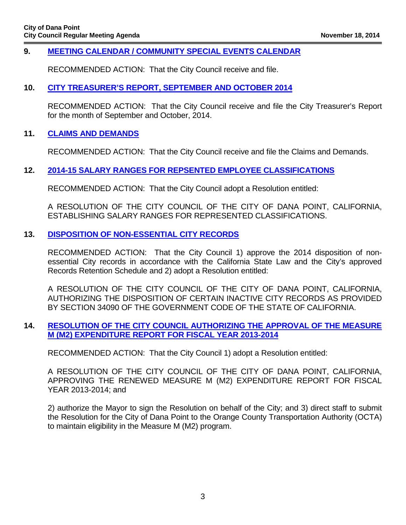#### **9. [MEETING CALENDAR / COMMUNITY SPECIAL EVENTS CALENDAR](https://www.danapoint.org/modules/showdocument.aspx?documentid=14735)**

RECOMMENDED ACTION: That the City Council receive and file.

#### **10. [CITY TREASURER'S REPORT, SEPTEMBER AND OCTOBER 2014](https://www.danapoint.org/modules/showdocument.aspx?documentid=14736)**

RECOMMENDED ACTION: That the City Council receive and file the City Treasurer's Report for the month of September and October, 2014.

#### **11. [CLAIMS AND DEMANDS](https://www.danapoint.org/modules/showdocument.aspx?documentid=14737)**

RECOMMENDED ACTION: That the City Council receive and file the Claims and Demands.

#### **12. [2014-15 SALARY RANGES FOR REPSENTED EMPLOYEE CLASSIFICATIONS](https://www.danapoint.org/modules/showdocument.aspx?documentid=14738)**

RECOMMENDED ACTION: That the City Council adopt a Resolution entitled:

A RESOLUTION OF THE CITY COUNCIL OF THE CITY OF DANA POINT, CALIFORNIA, ESTABLISHING SALARY RANGES FOR REPRESENTED CLASSIFICATIONS.

#### **13. [DISPOSITION OF NON-ESSENTIAL CITY RECORDS](https://www.danapoint.org/modules/showdocument.aspx?documentid=14739)**

RECOMMENDED ACTION: That the City Council 1) approve the 2014 disposition of nonessential City records in accordance with the California State Law and the City's approved Records Retention Schedule and 2) adopt a Resolution entitled:

A RESOLUTION OF THE CITY COUNCIL OF THE CITY OF DANA POINT, CALIFORNIA, AUTHORIZING THE DISPOSITION OF CERTAIN INACTIVE CITY RECORDS AS PROVIDED BY SECTION 34090 OF THE GOVERNMENT CODE OF THE STATE OF CALIFORNIA.

#### **14. [RESOLUTION OF THE CITY COUNCIL AUTHORIZING THE APPROVAL OF THE MEASURE](https://www.danapoint.org/modules/showdocument.aspx?documentid=14740) M (M2) EXPENDITURE REPORT FOR FISCAL YEAR 2013-2014**

RECOMMENDED ACTION: That the City Council 1) adopt a Resolution entitled:

A RESOLUTION OF THE CITY COUNCIL OF THE CITY OF DANA POINT, CALIFORNIA, APPROVING THE RENEWED MEASURE M (M2) EXPENDITURE REPORT FOR FISCAL YEAR 2013-2014; and

2) authorize the Mayor to sign the Resolution on behalf of the City; and 3) direct staff to submit the Resolution for the City of Dana Point to the Orange County Transportation Authority (OCTA) to maintain eligibility in the Measure M (M2) program.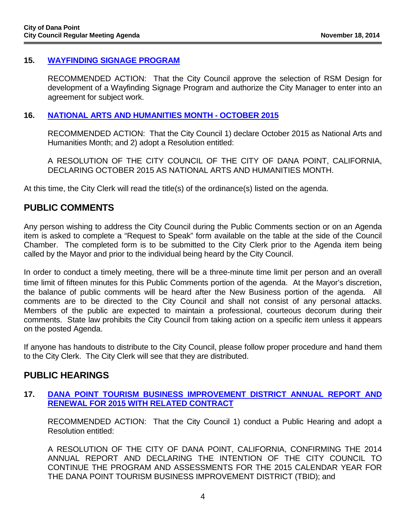#### **15. [WAYFINDING SIGNAGE PROGRA](https://www.danapoint.org/modules/showdocument.aspx?documentid=14741)M**

RECOMMENDED ACTION: That the City Council approve the selection of RSM Design for development of a Wayfinding Signage Program and authorize the City Manager to enter into an agreement for subject work.

#### **16. [NATIONAL ARTS AND HUMANITIES MONTH -](https://www.danapoint.org/modules/showdocument.aspx?documentid=14742) OCTOBER 2015**

RECOMMENDED ACTION: That the City Council 1) declare October 2015 as National Arts and Humanities Month; and 2) adopt a Resolution entitled:

A RESOLUTION OF THE CITY COUNCIL OF THE CITY OF DANA POINT, CALIFORNIA, DECLARING OCTOBER 2015 AS NATIONAL ARTS AND HUMANITIES MONTH.

At this time, the City Clerk will read the title(s) of the ordinance(s) listed on the agenda.

# **PUBLIC COMMENTS**

Any person wishing to address the City Council during the Public Comments section or on an Agenda item is asked to complete a "Request to Speak" form available on the table at the side of the Council Chamber. The completed form is to be submitted to the City Clerk prior to the Agenda item being called by the Mayor and prior to the individual being heard by the City Council.

In order to conduct a timely meeting, there will be a three-minute time limit per person and an overall time limit of fifteen minutes for this Public Comments portion of the agenda. At the Mayor's discretion, the balance of public comments will be heard after the New Business portion of the agenda. All comments are to be directed to the City Council and shall not consist of any personal attacks. Members of the public are expected to maintain a professional, courteous decorum during their comments. State law prohibits the City Council from taking action on a specific item unless it appears on the posted Agenda.

If anyone has handouts to distribute to the City Council, please follow proper procedure and hand them to the City Clerk. The City Clerk will see that they are distributed.

## **PUBLIC HEARINGS**

#### **17. [DANA POINT TOURISM BUSINESS IMPROVEMENT DISTRICT ANNUAL REPORT AND](https://www.danapoint.org/modules/showdocument.aspx?documentid=14743) RENEWAL FOR 2015 WITH RELATED CONTRACT**

RECOMMENDED ACTION: That the City Council 1) conduct a Public Hearing and adopt a Resolution entitled:

A RESOLUTION OF THE CITY OF DANA POINT, CALIFORNIA, CONFIRMING THE 2014 ANNUAL REPORT AND DECLARING THE INTENTION OF THE CITY COUNCIL TO CONTINUE THE PROGRAM AND ASSESSMENTS FOR THE 2015 CALENDAR YEAR FOR THE DANA POINT TOURISM BUSINESS IMPROVEMENT DISTRICT (TBID); and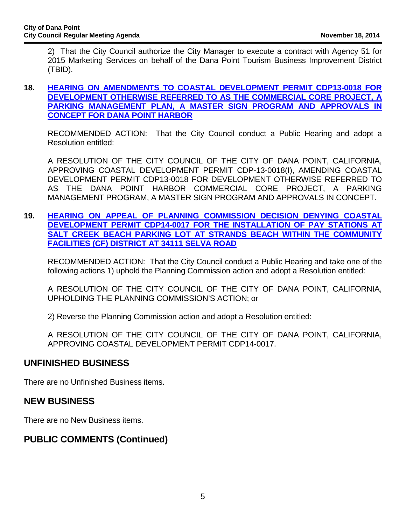2) That the City Council authorize the City Manager to execute a contract with Agency 51 for 2015 Marketing Services on behalf of the Dana Point Tourism Business Improvement District (TBID).

#### **18. [HEARING ON AMENDMENTS TO COASTAL DEVELOPMENT PERMIT CDP13-0018 FOR](https://www.danapoint.org/modules/showdocument.aspx?documentid=14744) DEVELOPMENT OTHERWISE REFERRED TO AS THE COMMERCIAL CORE PROJECT, A PARKING MANAGEMENT PLAN, A MASTER SIGN PROGRAM AND APPROVALS IN CONCEPT FOR DANA POINT HARBOR**

RECOMMENDED ACTION: That the City Council conduct a Public Hearing and adopt a Resolution entitled:

A RESOLUTION OF THE CITY COUNCIL OF THE CITY OF DANA POINT, CALIFORNIA, APPROVING COASTAL DEVELOPMENT PERMIT CDP-13-0018(I), AMENDING COASTAL DEVELOPMENT PERMIT CDP13-0018 FOR DEVELOPMENT OTHERWISE REFERRED TO AS THE DANA POINT HARBOR COMMERCIAL CORE PROJECT, A PARKING MANAGEMENT PROGRAM, A MASTER SIGN PROGRAM AND APPROVALS IN CONCEPT.

**19. [HEARING ON APPEAL OF PLANNING COMMISSION DECISION DENYING COASTA](https://www.danapoint.org/modules/showdocument.aspx?documentid=14745)L DEVELOPMENT PERMIT CDP14-0017 FOR THE INSTALLATION OF PAY STATIONS AT SALT CREEK BEACH PARKING LOT AT STRANDS BEACH WITHIN THE COMMUNITY FACILITIES (CF) DISTRICT AT 34111 SELVA ROAD**

RECOMMENDED ACTION: That the City Council conduct a Public Hearing and take one of the following actions 1) uphold the Planning Commission action and adopt a Resolution entitled:

A RESOLUTION OF THE CITY COUNCIL OF THE CITY OF DANA POINT, CALIFORNIA, UPHOLDING THE PLANNING COMMISSION'S ACTION; or

2) Reverse the Planning Commission action and adopt a Resolution entitled:

A RESOLUTION OF THE CITY COUNCIL OF THE CITY OF DANA POINT, CALIFORNIA, APPROVING COASTAL DEVELOPMENT PERMIT CDP14-0017.

## **UNFINISHED BUSINESS**

There are no Unfinished Business items.

## **NEW BUSINESS**

There are no New Business items.

# **PUBLIC COMMENTS (Continued)**